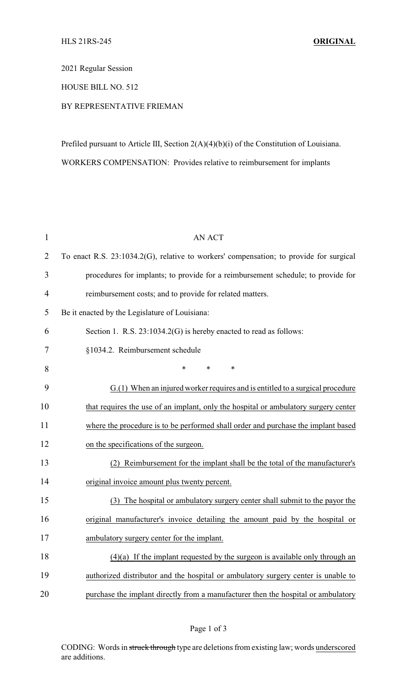2021 Regular Session

HOUSE BILL NO. 512

## BY REPRESENTATIVE FRIEMAN

Prefiled pursuant to Article III, Section 2(A)(4)(b)(i) of the Constitution of Louisiana. WORKERS COMPENSATION: Provides relative to reimbursement for implants

| $\mathbf{1}$   | <b>AN ACT</b>                                                                          |
|----------------|----------------------------------------------------------------------------------------|
| $\overline{2}$ | To enact R.S. 23:1034.2(G), relative to workers' compensation; to provide for surgical |
| 3              | procedures for implants; to provide for a reimbursement schedule; to provide for       |
| $\overline{4}$ | reimbursement costs; and to provide for related matters.                               |
| 5              | Be it enacted by the Legislature of Louisiana:                                         |
| 6              | Section 1. R.S. $23:1034.2(G)$ is hereby enacted to read as follows:                   |
| 7              | §1034.2. Reimbursement schedule                                                        |
| 8              | *<br>*<br>∗                                                                            |
| 9              | $G(1)$ When an injured worker requires and is entitled to a surgical procedure         |
| 10             | that requires the use of an implant, only the hospital or ambulatory surgery center    |
| 11             | where the procedure is to be performed shall order and purchase the implant based      |
| 12             | on the specifications of the surgeon.                                                  |
| 13             | Reimbursement for the implant shall be the total of the manufacturer's                 |
| 14             | original invoice amount plus twenty percent.                                           |
| 15             | The hospital or ambulatory surgery center shall submit to the payor the<br>(3)         |
| 16             | original manufacturer's invoice detailing the amount paid by the hospital or           |
| 17             | ambulatory surgery center for the implant.                                             |
| 18             | $(4)(a)$ If the implant requested by the surgeon is available only through an          |
| 19             | authorized distributor and the hospital or ambulatory surgery center is unable to      |
| 20             | purchase the implant directly from a manufacturer then the hospital or ambulatory      |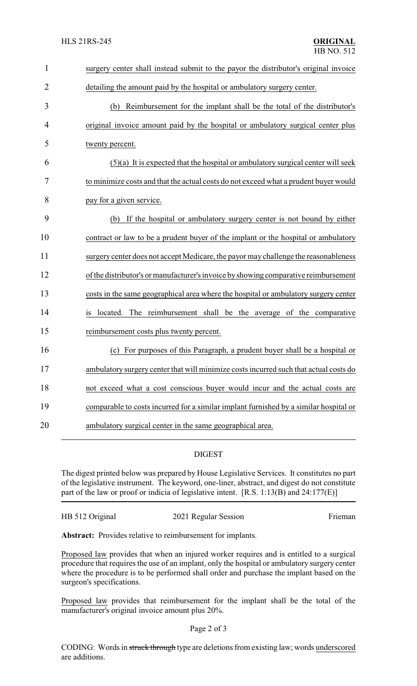| $\mathbf{1}$   | surgery center shall instead submit to the payor the distributor's original invoice   |  |
|----------------|---------------------------------------------------------------------------------------|--|
| $\overline{2}$ | detailing the amount paid by the hospital or ambulatory surgery center.               |  |
| 3              | Reimbursement for the implant shall be the total of the distributor's<br>(b)          |  |
| 4              | original invoice amount paid by the hospital or ambulatory surgical center plus       |  |
| 5              | twenty percent.                                                                       |  |
| 6              | $(5)(a)$ It is expected that the hospital or ambulatory surgical center will seek     |  |
| 7              | to minimize costs and that the actual costs do not exceed what a prudent buyer would  |  |
| 8              | pay for a given service.                                                              |  |
| 9              | (b) If the hospital or ambulatory surgery center is not bound by either               |  |
| 10             | contract or law to be a prudent buyer of the implant or the hospital or ambulatory    |  |
| 11             | surgery center does not accept Medicare, the payor may challenge the reasonableness   |  |
| 12             | of the distributor's or manufacturer's invoice by showing comparative reimbursement   |  |
| 13             | costs in the same geographical area where the hospital or ambulatory surgery center   |  |
| 14             | The reimbursement shall be the average of the comparative<br>located.<br>1S           |  |
| 15             | reimbursement costs plus twenty percent.                                              |  |
| 16             | For purposes of this Paragraph, a prudent buyer shall be a hospital or<br>(c)         |  |
| 17             | ambulatory surgery center that will minimize costs incurred such that actual costs do |  |
| 18             | not exceed what a cost conscious buyer would incur and the actual costs are           |  |
| 19             | comparable to costs incurred for a similar implant furnished by a similar hospital or |  |
| 20             | ambulatory surgical center in the same geographical area.                             |  |

## DIGEST

The digest printed below was prepared by House Legislative Services. It constitutes no part of the legislative instrument. The keyword, one-liner, abstract, and digest do not constitute part of the law or proof or indicia of legislative intent. [R.S. 1:13(B) and 24:177(E)]

|  | HB 512 Original | 2021 Regular Session | Frieman |
|--|-----------------|----------------------|---------|
|--|-----------------|----------------------|---------|

**Abstract:** Provides relative to reimbursement for implants.

Proposed law provides that when an injured worker requires and is entitled to a surgical procedure that requires the use of an implant, only the hospital or ambulatory surgery center where the procedure is to be performed shall order and purchase the implant based on the surgeon's specifications.

Proposed law provides that reimbursement for the implant shall be the total of the manufacturer's original invoice amount plus 20%.

## Page 2 of 3

CODING: Words in struck through type are deletions from existing law; words underscored are additions.